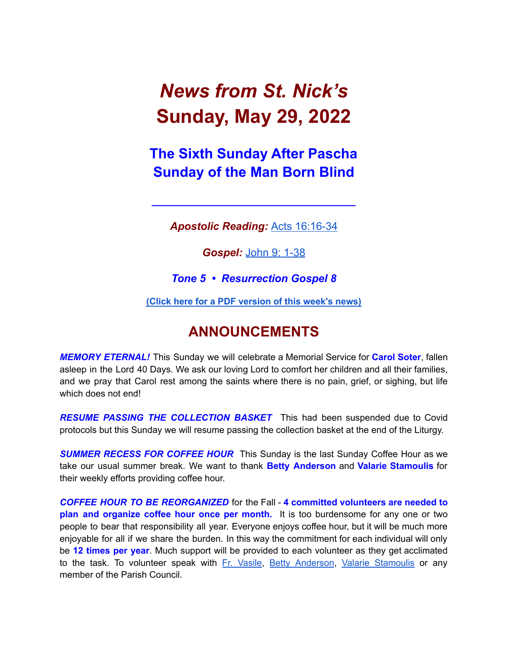# *News from St. Nick's* **Sunday, May 29, 2022**

### **The Sixth Sunday After Pascha Sunday of the Man Born Blind**

*Apostolic Reading:* Acts [16:16-34](https://biblia.com/bible/esv/acts/16/16-34)

**\_\_\_\_\_\_\_\_\_\_\_\_\_\_\_\_\_\_\_\_\_\_\_\_\_\_\_\_\_\_\_\_\_\_**

*Gospel:* [John](https://biblia.com/bible/esv/john/9/1-38) 9: 1-38

*Tone 5 • Resurrection Gospel 8*

**(Click here for a PDF [version](http://www.stnicholaschurch.org/Images/News/2022-05-29.pdf) of this week's news)**

### **ANNOUNCEMENTS**

*MEMORY ETERNAL!* This Sunday we will celebrate a Memorial Service for **Carol Soter**, fallen asleep in the Lord 40 Days. We ask our loving Lord to comfort her children and all their families, and we pray that Carol rest among the saints where there is no pain, grief, or sighing, but life which does not end!

*RESUME PASSING THE COLLECTION BASKET* This had been suspended due to Covid protocols but this Sunday we will resume passing the collection basket at the end of the Liturgy.

*SUMMER RECESS FOR COFFEE HOUR* This Sunday is the last Sunday Coffee Hour as we take our usual summer break. We want to thank **Betty Anderson** and **Valarie Stamoulis** for their weekly efforts providing coffee hour.

*COFFEE HOUR TO BE REORGANIZED* for the Fall - **4 committed volunteers are needed to plan and organize coffee hour once per month.** It is too burdensome for any one or two people to bear that responsibility all year. Everyone enjoys coffee hour, but it will be much more enjoyable for all if we share the burden. In this way the commitment for each individual will only be **12 times per year**. Much support will be provided to each volunteer as they get acclimated to the task. To volunteer speak with Fr. [Vasile,](mailto:fr.vasileaileni@gmail.com) Betty [Anderson](mailto:bettya16@verizon.net), Valarie [Stamoulis](mailto:valarie.stamoulis@gmail.com) or any member of the Parish Council.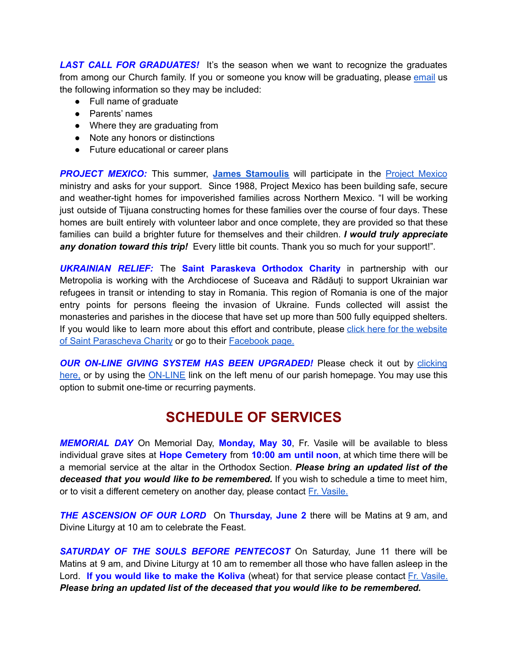**LAST CALL FOR GRADUATES!** It's the season when we want to recognize the graduates from among our Church family. If you or someone you know will be graduating, please [email](mailto:tjrucho@gmail.com) us the following information so they may be included:

- Full name of graduate
- Parents' names
- Where they are graduating from
- Note any honors or distinctions
- Future educational or career plans

**PROJECT MEXICO:** This summer, James [Stamoulis](mailto: jamesstamoulis@icloud.com) will participate in the **Project [Mexico](https://www.projectmexico.org/)** ministry and asks for your support. Since 1988, Project Mexico has been building safe, secure and weather-tight homes for impoverished families across Northern Mexico. "I will be working just outside of Tijuana constructing homes for these families over the course of four days. These homes are built entirely with volunteer labor and once complete, they are provided so that these families can build a brighter future for themselves and their children. *I would truly appreciate any donation toward this trip!* Every little bit counts. Thank you so much for your support!".

*UKRAINIAN RELIEF:* The **Saint Paraskeva Orthodox Charity** in partnership with our Metropolia is working with the Archdiocese of Suceava and Rădăuți to support Ukrainian war refugees in transit or intending to stay in Romania. This region of Romania is one of the major entry points for persons fleeing the invasion of Ukraine. Funds collected will assist the monasteries and parishes in the diocese that have set up more than 500 fully equipped shelters. If you would like to learn more about this effort and contribute, please click here for the [website](https://www.spcharity.org/) of Saint [Parascheva](https://www.spcharity.org/) Charity or go to their [Facebook](https://www.facebook.com/donate/263166699318376/4935598499809637/) page.

*OUR ON-LINE GIVING SYSTEM HAS BEEN UPGRADED!* Please check it out by [clicking](https://giving.parishsoft.com/app/giving/stnicks) [here,](https://giving.parishsoft.com/app/giving/stnicks) or by using the [ON-LINE](http://www.stnicholaschurch.org) link on the left menu of our parish homepage. You may use this option to submit one-time or recurring payments.

### **SCHEDULE OF SERVICES**

*MEMORIAL DAY* On Memorial Day, **Monday, May 30**, Fr. Vasile will be available to bless individual grave sites at **Hope Cemetery** from **10:00 am until noon**, at which time there will be a memorial service at the altar in the Orthodox Section. *Please bring an updated list of the deceased that you would like to be remembered.* If you wish to schedule a time to meet him, or to visit a different cemetery on another day, please contact Fr. [Vasile.](mailto:fr.vasileaileni@gmail.com)

*THE ASCENSION OF OUR LORD* On **Thursday, June 2** there will be Matins at 9 am, and Divine Liturgy at 10 am to celebrate the Feast.

*SATURDAY OF THE SOULS BEFORE PENTECOST* On Saturday, June 11 there will be Matins at 9 am, and Divine Liturgy at 10 am to remember all those who have fallen asleep in the Lord. **If you would like to make the Koliva** (wheat) for that service please contact Fr. [Vasile.](mailto:fr.vasileaileni@gmail.com) *Please bring an updated list of the deceased that you would like to be remembered.*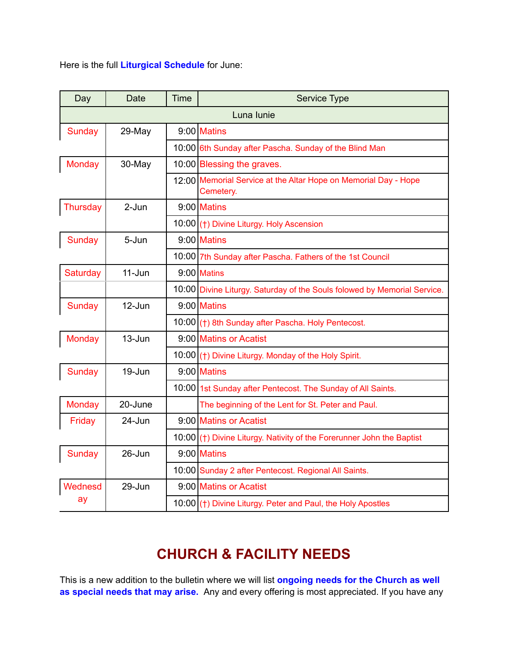Here is the full **Liturgical Schedule** for June:

| Day           | <b>Date</b> | <b>Time</b> | Service Type                                                                 |
|---------------|-------------|-------------|------------------------------------------------------------------------------|
| Luna lunie    |             |             |                                                                              |
| Sunday        | 29-May      |             | $9:00$ Matins                                                                |
|               |             |             | 10:00 6th Sunday after Pascha. Sunday of the Blind Man                       |
| Monday        | 30-May      |             | 10:00 Blessing the graves.                                                   |
|               |             |             | 12:00 Memorial Service at the Altar Hope on Memorial Day - Hope<br>Cemetery. |
| Thursday      | 2-Jun       |             | $9:00$ Matins                                                                |
|               |             |             | 10:00 (†) Divine Liturgy. Holy Ascension                                     |
| Sunday        | 5-Jun       |             | $9:00$ Matins                                                                |
|               |             |             | 10:00 7th Sunday after Pascha. Fathers of the 1st Council                    |
| Saturday      | $11 - Jun$  |             | $9:00$ Matins                                                                |
|               |             |             | 10:00 Divine Liturgy. Saturday of the Souls folowed by Memorial Service.     |
| <b>Sunday</b> | 12-Jun      |             | $9:00$ Matins                                                                |
|               |             |             | 10:00 (†) 8th Sunday after Pascha. Holy Pentecost.                           |
| <b>Monday</b> | 13-Jun      |             | 9:00 Matins or Acatist                                                       |
|               |             |             | 10:00 (†) Divine Liturgy. Monday of the Holy Spirit.                         |
| Sunday        | 19-Jun      |             | $9:00$ Matins                                                                |
|               |             |             | 10:00 1st Sunday after Pentecost. The Sunday of All Saints.                  |
| <b>Monday</b> | 20-June     |             | The beginning of the Lent for St. Peter and Paul.                            |
| Friday        | 24-Jun      |             | 9:00 Matins or Acatist                                                       |
|               |             |             | 10:00 (†) Divine Liturgy. Nativity of the Forerunner John the Baptist        |
| Sunday        | 26-Jun      |             | $9:00$ Matins                                                                |
|               |             |             | 10:00 Sunday 2 after Pentecost. Regional All Saints.                         |
| Wednesd       | 29-Jun      |             | 9:00 Matins or Acatist                                                       |
| ay            |             |             | 10:00 (†) Divine Liturgy. Peter and Paul, the Holy Apostles                  |

## **CHURCH & FACILITY NEEDS**

This is a new addition to the bulletin where we will list **ongoing needs for the Church as well as special needs that may arise.** Any and every offering is most appreciated. If you have any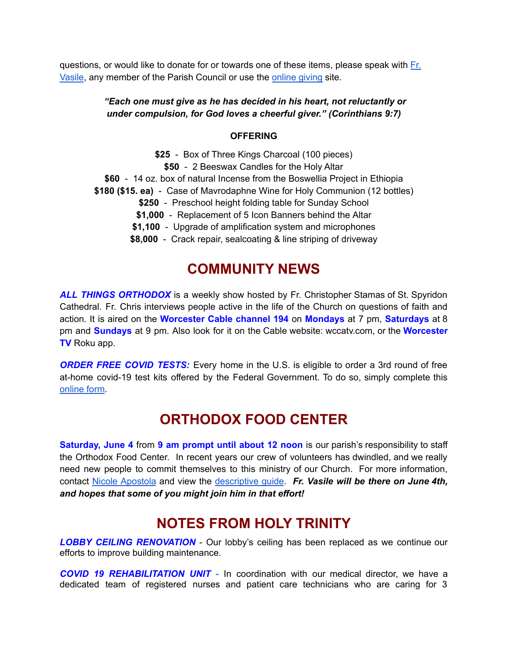questions, or would like to donate for or towards one of these items, please speak with [Fr.](mailto:fr.vasileaileni@gmail.com) [Vasile](mailto:fr.vasileaileni@gmail.com), any member of the Parish Council or use the [online](https://giving.parishsoft.com/app/giving/stnicks) giving site.

#### *"Each one must give as he has decided in his heart, not reluctantly or under compulsion, for God loves a cheerful giver." (Corinthians 9:7)*

#### **OFFERING**

**\$25** - Box of Three Kings Charcoal (100 pieces) **\$50** - 2 Beeswax Candles for the Holy Altar **\$60** - 14 oz. box of natural Incense from the Boswellia Project in Ethiopia **\$180 (\$15. ea)** - Case of Mavrodaphne Wine for Holy Communion (12 bottles) **\$250** - Preschool height folding table for Sunday School **\$1,000** - Replacement of 5 Icon Banners behind the Altar **\$1,100** - Upgrade of amplification system and microphones **\$8,000** - Crack repair, sealcoating & line striping of driveway

### **COMMUNITY NEWS**

*ALL THINGS ORTHODOX* is a weekly show hosted by Fr. Christopher Stamas of St. Spyridon Cathedral. Fr. Chris interviews people active in the life of the Church on questions of faith and action. It is aired on the **Worcester Cable channel 194** on **Mondays** at 7 pm, **Saturdays** at 8 pm and **Sundays** at 9 pm. Also look for it on the Cable website: wccatv.com, or the **Worcester TV** Roku app.

*ORDER FREE COVID TESTS:* Every home in the U.S. is eligible to order a 3rd round of free at-home covid-19 test kits offered by the Federal Government. To do so, simply complete this [online](https://www.covid.gov/tests) form.

### **ORTHODOX FOOD CENTER**

**Saturday, June 4** from **9 am prompt until about 12 noon** is our parish's responsibility to staff the Orthodox Food Center. In recent years our crew of volunteers has dwindled, and we really need new people to commit themselves to this ministry of our Church. For more information, contact Nicole [Apostola](mailto:nicole.apostola@gmail.com) and view the [descriptive](https://docs.google.com/document/d/1a9XcmpPsPN1nCSq0u1Olq-IZViu0OQRBRDu0lVlCCFE/edit) guide. *Fr. Vasile will be there on June 4th, and hopes that some of you might join him in that effort!*

### **NOTES FROM HOLY TRINITY**

*LOBBY CEILING RENOVATION* - Our lobby's ceiling has been replaced as we continue our efforts to improve building maintenance.

*COVID 19 REHABILITATION UNIT* - In coordination with our medical director, we have a dedicated team of registered nurses and patient care technicians who are caring for 3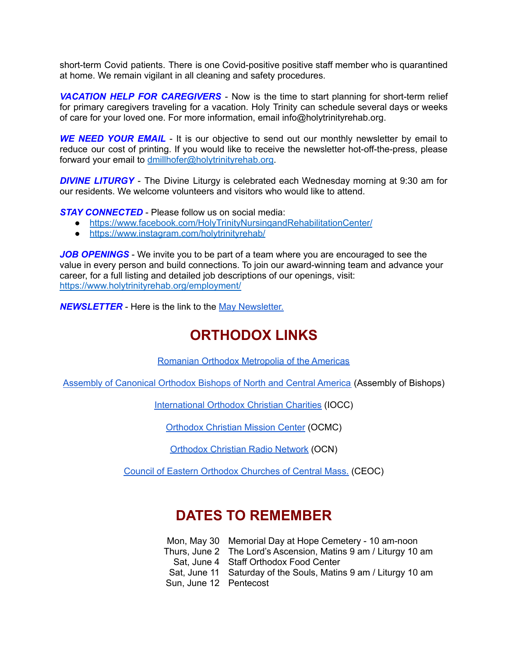short-term Covid patients. There is one Covid-positive positive staff member who is quarantined at home. We remain vigilant in all cleaning and safety procedures.

*VACATION HELP FOR CAREGIVERS* - Now is the time to start planning for short-term relief for primary caregivers traveling for a vacation. Holy Trinity can schedule several days or weeks of care for your loved one. For more information, email info@holytrinityrehab.org.

*WE NEED YOUR EMAIL* - It is our objective to send out our monthly newsletter by email to reduce our cost of printing. If you would like to receive the newsletter hot-off-the-press, please forward your email to [dmillhofer@holytrinityrehab.org.](mailto:dmillhofer@holytrinityrehab.org)

*DIVINE LITURGY* - The Divine Liturgy is celebrated each Wednesday morning at 9:30 am for our residents. We welcome volunteers and visitors who would like to attend.

*STAY CONNECTED* - Please follow us on social media:

- <https://www.facebook.com/HolyTrinityNursingandRehabilitationCenter/>
- <https://www.instagram.com/holytrinityrehab/>

*JOB OPENINGS* - We invite you to be part of a team where you are encouraged to see the value in every person and build connections. To join our award-winning team and advance your career, for a full listing and detailed job descriptions of our openings, visit: <https://www.holytrinityrehab.org/employment/>

*NEWSLETTER* - Here is the link to the May [Newsletter.](https://www.holytrinityrehab.org/wp-content/uploads/sites/356/2022/04/newsletter-may2022.pdf)

### **ORTHODOX LINKS**

Romanian Orthodox [Metropolia](http://www.mitropolia.us/index.php/en/) of the Americas

Assembly of [Canonical](http://www.assemblyofbishops.org/) Orthodox Bishops of North and Central America (Assembly of Bishops)

[International](http://www.iocc.org/) Orthodox Christian Charities (IOCC)

[Orthodox](http://www.ocmc.org/) Christian Mission Center (OCMC)

[Orthodox](http://www.myocn.net/) Christian Radio Network (OCN)

Council of Eastern Orthodox [Churches](http://www.ceoc.us/) of Central Mass. (CEOC)

### **DATES TO REMEMBER**

Mon, May 30 Memorial Day at Hope Cemetery - 10 am-noon Thurs, June 2 The Lord's Ascension, Matins 9 am / Liturgy 10 am Sat, June 4 Staff Orthodox Food Center Sat, June 11 Saturday of the Souls, Matins 9 am / Liturgy 10 am Sun, June 12 Pentecost